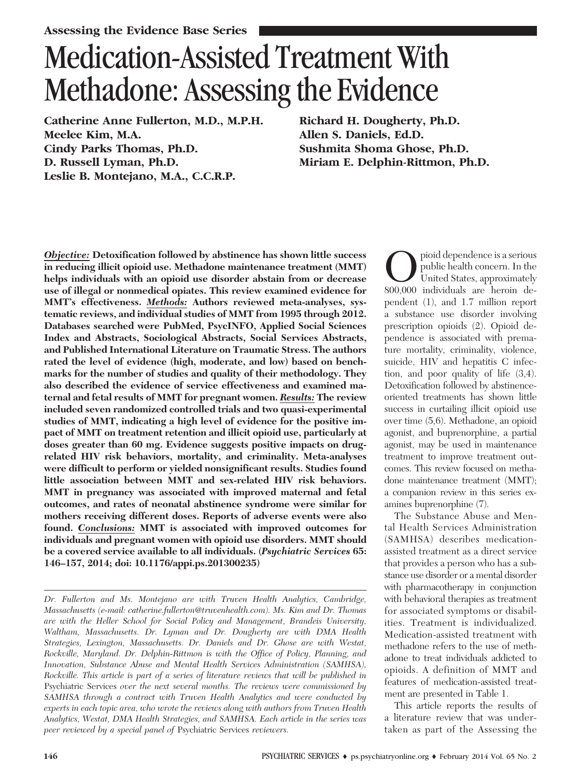# Medication-Assisted Treatment With Methadone: Assessing the Evidence

Catherine Anne Fullerton, M.D., M.P.H. Meelee Kim, M.A. Cindy Parks Thomas, Ph.D. D. Russell Lyman, Ph.D. Leslie B. Montejano, M.A., C.C.R.P.

Richard H. Dougherty, Ph.D. Allen S. Daniels, Ed.D. Sushmita Shoma Ghose, Ph.D. Miriam E. Delphin-Rittmon, Ph.D.

Objective: Detoxification followed by abstinence has shown little success in reducing illicit opioid use. Methadone maintenance treatment (MMT) helps individuals with an opioid use disorder abstain from or decrease use of illegal or nonmedical opiates. This review examined evidence for MMT's effectiveness. Methods: Authors reviewed meta-analyses, systematic reviews, and individual studies of MMT from 1995 through 2012. Databases searched were PubMed, PsycINFO, Applied Social Sciences Index and Abstracts, Sociological Abstracts, Social Services Abstracts, and Published International Literature on Traumatic Stress. The authors rated the level of evidence (high, moderate, and low) based on benchmarks for the number of studies and quality of their methodology. They also described the evidence of service effectiveness and examined maternal and fetal results of MMT for pregnant women. Results: The review included seven randomized controlled trials and two quasi-experimental studies of MMT, indicating a high level of evidence for the positive impact of MMT on treatment retention and illicit opioid use, particularly at doses greater than 60 mg. Evidence suggests positive impacts on drugrelated HIV risk behaviors, mortality, and criminality. Meta-analyses were difficult to perform or yielded nonsignificant results. Studies found little association between MMT and sex-related HIV risk behaviors. MMT in pregnancy was associated with improved maternal and fetal outcomes, and rates of neonatal abstinence syndrome were similar for mothers receiving different doses. Reports of adverse events were also found. Conclusions: MMT is associated with improved outcomes for individuals and pregnant women with opioid use disorders. MMT should be a covered service available to all individuals. (Psychiatric Services 65: 146–157, 2014; doi: 10.1176/appi.ps.201300235)

 $\begin{minipage}{.4\linewidth} \begin{tabular}{l} pbioid dependence is a serious public health concern. In the United States, approximately $800,000 individuals are heroin de- \end{tabular} \end{minipage}$ public health concern. In the United States, approximately pendent (1), and 1.7 million report a substance use disorder involving prescription opioids (2). Opioid dependence is associated with premature mortality, criminality, violence, suicide, HIV and hepatitis C infection, and poor quality of life (3,4). Detoxification followed by abstinenceoriented treatments has shown little success in curtailing illicit opioid use over time (5,6). Methadone, an opioid agonist, and buprenorphine, a partial agonist, may be used in maintenance treatment to improve treatment outcomes. This review focused on methadone maintenance treatment (MMT); a companion review in this series examines buprenorphine (7).

The Substance Abuse and Mental Health Services Administration (SAMHSA) describes medicationassisted treatment as a direct service that provides a person who has a substance use disorder or a mental disorder with pharmacotherapy in conjunction with behavioral therapies as treatment for associated symptoms or disabilities. Treatment is individualized. Medication-assisted treatment with methadone refers to the use of methadone to treat individuals addicted to opioids. A definition of MMT and features of medication-assisted treatment are presented in Table 1.

This article reports the results of a literature review that was undertaken as part of the Assessing the

Dr. Fullerton and Ms. Montejano are with Truven Health Analytics, Cambridge, Massachusetts (e-mail: [catherine.fullerton@truvenhealth.com](mailto:catherine.fullerton@truvenhealth.com)). Ms. Kim and Dr. Thomas are with the Heller School for Social Policy and Management, Brandeis University, Waltham, Massachusetts. Dr. Lyman and Dr. Dougherty are with DMA Health Strategies, Lexington, Massachusetts. Dr. Daniels and Dr. Ghose are with Westat, Rockville, Maryland. Dr. Delphin-Rittmon is with the Office of Policy, Planning, and Innovation, Substance Abuse and Mental Health Services Administration (SAMHSA), Rockville. This article is part of a series of literature reviews that will be published in Psychiatric Services over the next several months. The reviews were commissioned by SAMHSA through a contract with Truven Health Analytics and were conducted by experts in each topic area, who wrote the reviews along with authors from Truven Health Analytics, Westat, DMA Health Strategies, and SAMHSA. Each article in the series was peer reviewed by a special panel of Psychiatric Services reviewers.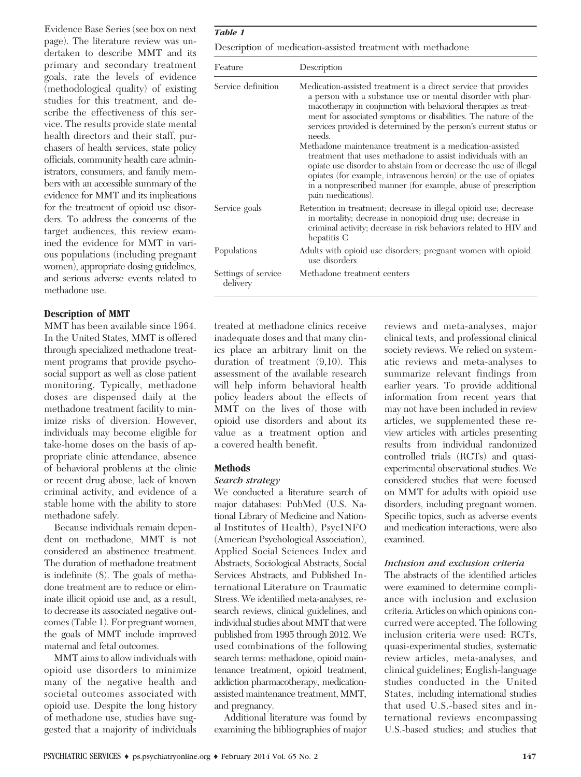Evidence Base Series (see box on next page). The literature review was undertaken to describe MMT and its primary and secondary treatment goals, rate the levels of evidence (methodological quality) of existing studies for this treatment, and describe the effectiveness of this service. The results provide state mental health directors and their staff, purchasers of health services, state policy officials, community health care administrators, consumers, and family members with an accessible summary of the evidence for MMT and its implications for the treatment of opioid use disorders. To address the concerns of the target audiences, this review examined the evidence for MMT in various populations (including pregnant women), appropriate dosing guidelines, and serious adverse events related to methadone use.

## Description of MMT

MMT has been available since 1964. In the United States, MMT is offered through specialized methadone treatment programs that provide psychosocial support as well as close patient monitoring. Typically, methadone doses are dispensed daily at the methadone treatment facility to minimize risks of diversion. However, individuals may become eligible for take-home doses on the basis of appropriate clinic attendance, absence of behavioral problems at the clinic or recent drug abuse, lack of known criminal activity, and evidence of a stable home with the ability to store methadone safely.

Because individuals remain dependent on methadone, MMT is not considered an abstinence treatment. The duration of methadone treatment is indefinite (8). The goals of methadone treatment are to reduce or eliminate illicit opioid use and, as a result, to decrease its associated negative outcomes (Table 1). For pregnant women, the goals of MMT include improved maternal and fetal outcomes.

MMT aims to allow individuals with opioid use disorders to minimize many of the negative health and societal outcomes associated with opioid use. Despite the long history of methadone use, studies have suggested that a majority of individuals

#### Table 1

Description of medication-assisted treatment with methadone

| Feature                         | Description                                                                                                                                                                                                                                                                                                                                             |
|---------------------------------|---------------------------------------------------------------------------------------------------------------------------------------------------------------------------------------------------------------------------------------------------------------------------------------------------------------------------------------------------------|
| Service definition              | Medication-assisted treatment is a direct service that provides<br>a person with a substance use or mental disorder with phar-<br>macotherapy in conjunction with behavioral therapies as treat-<br>ment for associated symptoms or disabilities. The nature of the<br>services provided is determined by the person's current status or<br>needs.      |
|                                 | Methadone maintenance treatment is a medication-assisted<br>treatment that uses methadone to assist individuals with an<br>opiate use disorder to abstain from or decrease the use of illegal<br>opiates (for example, intravenous heroin) or the use of opiates<br>in a nonprescribed manner (for example, abuse of prescription<br>pain medications). |
| Service goals                   | Retention in treatment; decrease in illegal opioid use; decrease<br>in mortality; decrease in nonopioid drug use; decrease in<br>criminal activity; decrease in risk behaviors related to HIV and<br>hepatitis C                                                                                                                                        |
| Populations                     | Adults with opioid use disorders; pregnant women with opioid<br>use disorders                                                                                                                                                                                                                                                                           |
| Settings of service<br>delivery | Methadone treatment centers                                                                                                                                                                                                                                                                                                                             |

treated at methadone clinics receive inadequate doses and that many clinics place an arbitrary limit on the duration of treatment (9,10). This assessment of the available research will help inform behavioral health policy leaders about the effects of MMT on the lives of those with opioid use disorders and about its value as a treatment option and a covered health benefit.

## Methods

### Search strategy

We conducted a literature search of major databases: PubMed (U.S. National Library of Medicine and National Institutes of Health), PsycINFO (American Psychological Association), Applied Social Sciences Index and Abstracts, Sociological Abstracts, Social Services Abstracts, and Published International Literature on Traumatic Stress. We identified meta-analyses, research reviews, clinical guidelines, and individual studies about MMT that were published from 1995 through 2012. We used combinations of the following search terms: methadone, opioid maintenance treatment, opioid treatment, addiction pharmacotherapy, medicationassisted maintenance treatment, MMT, and pregnancy.

Additional literature was found by examining the bibliographies of major reviews and meta-analyses, major clinical texts, and professional clinical society reviews. We relied on systematic reviews and meta-analyses to summarize relevant findings from earlier years. To provide additional information from recent years that may not have been included in review articles, we supplemented these review articles with articles presenting results from individual randomized controlled trials (RCTs) and quasiexperimental observational studies. We considered studies that were focused on MMT for adults with opioid use disorders, including pregnant women. Specific topics, such as adverse events and medication interactions, were also examined.

## Inclusion and exclusion criteria

The abstracts of the identified articles were examined to determine compliance with inclusion and exclusion criteria. Articles on which opinions concurred were accepted. The following inclusion criteria were used: RCTs, quasi-experimental studies, systematic review articles, meta-analyses, and clinical guidelines; English-language studies conducted in the United States, including international studies that used U.S.-based sites and international reviews encompassing U.S.-based studies; and studies that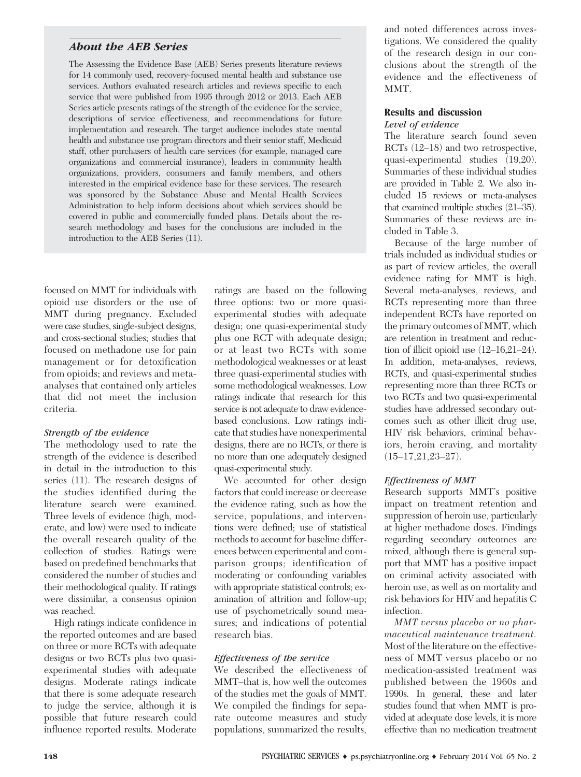# About the AEB Series

The Assessing the Evidence Base (AEB) Series presents literature reviews for 14 commonly used, recovery-focused mental health and substance use services. Authors evaluated research articles and reviews specific to each service that were published from 1995 through 2012 or 2013. Each AEB Series article presents ratings of the strength of the evidence for the service, descriptions of service effectiveness, and recommendations for future implementation and research. The target audience includes state mental health and substance use program directors and their senior staff, Medicaid staff, other purchasers of health care services (for example, managed care organizations and commercial insurance), leaders in community health organizations, providers, consumers and family members, and others interested in the empirical evidence base for these services. The research was sponsored by the Substance Abuse and Mental Health Services Administration to help inform decisions about which services should be covered in public and commercially funded plans. Details about the research methodology and bases for the conclusions are included in the introduction to the AEB Series (11).

focused on MMT for individuals with opioid use disorders or the use of MMT during pregnancy. Excluded were case studies, single-subject designs, and cross-sectional studies; studies that focused on methadone use for pain management or for detoxification from opioids; and reviews and metaanalyses that contained only articles that did not meet the inclusion criteria.

## Strength of the evidence

The methodology used to rate the strength of the evidence is described in detail in the introduction to this series (11). The research designs of the studies identified during the literature search were examined. Three levels of evidence (high, moderate, and low) were used to indicate the overall research quality of the collection of studies. Ratings were based on predefined benchmarks that considered the number of studies and their methodological quality. If ratings were dissimilar, a consensus opinion was reached.

High ratings indicate confidence in the reported outcomes and are based on three or more RCTs with adequate designs or two RCTs plus two quasiexperimental studies with adequate designs. Moderate ratings indicate that there is some adequate research to judge the service, although it is possible that future research could influence reported results. Moderate ratings are based on the following three options: two or more quasiexperimental studies with adequate design; one quasi-experimental study plus one RCT with adequate design; or at least two RCTs with some methodological weaknesses or at least three quasi-experimental studies with some methodological weaknesses. Low ratings indicate that research for this service is not adequate to draw evidencebased conclusions. Low ratings indicate that studies have nonexperimental designs, there are no RCTs, or there is no more than one adequately designed quasi-experimental study.

We accounted for other design factors that could increase or decrease the evidence rating, such as how the service, populations, and interventions were defined; use of statistical methods to account for baseline differences between experimental and comparison groups; identification of moderating or confounding variables with appropriate statistical controls; examination of attrition and follow-up; use of psychometrically sound measures; and indications of potential research bias.

## Effectiveness of the service

We described the effectiveness of MMT–that is, how well the outcomes of the studies met the goals of MMT. We compiled the findings for separate outcome measures and study populations, summarized the results, and noted differences across investigations. We considered the quality of the research design in our conclusions about the strength of the evidence and the effectiveness of MMT.

# Results and discussion

## Level of evidence

The literature search found seven RCTs (12–18) and two retrospective, quasi-experimental studies (19,20). Summaries of these individual studies are provided in Table 2. We also included 15 reviews or meta-analyses that examined multiple studies (21–35). Summaries of these reviews are included in Table 3.

Because of the large number of trials included as individual studies or as part of review articles, the overall evidence rating for MMT is high. Several meta-analyses, reviews, and RCTs representing more than three independent RCTs have reported on the primary outcomes of MMT, which are retention in treatment and reduction of illicit opioid use (12–16,21–24). In addition, meta-analyses, reviews, RCTs, and quasi-experimental studies representing more than three RCTs or two RCTs and two quasi-experimental studies have addressed secondary outcomes such as other illicit drug use, HIV risk behaviors, criminal behaviors, heroin craving, and mortality  $(15–17,21,23–27).$ 

## Effectiveness of MMT

Research supports MMT's positive impact on treatment retention and suppression of heroin use, particularly at higher methadone doses. Findings regarding secondary outcomes are mixed, although there is general support that MMT has a positive impact on criminal activity associated with heroin use, as well as on mortality and risk behaviors for HIV and hepatitis C infection.

MMT versus placebo or no pharmaceutical maintenance treatment. Most of the literature on the effectiveness of MMT versus placebo or no medication-assisted treatment was published between the 1960s and 1990s. In general, these and later studies found that when MMT is provided at adequate dose levels, it is more effective than no medication treatment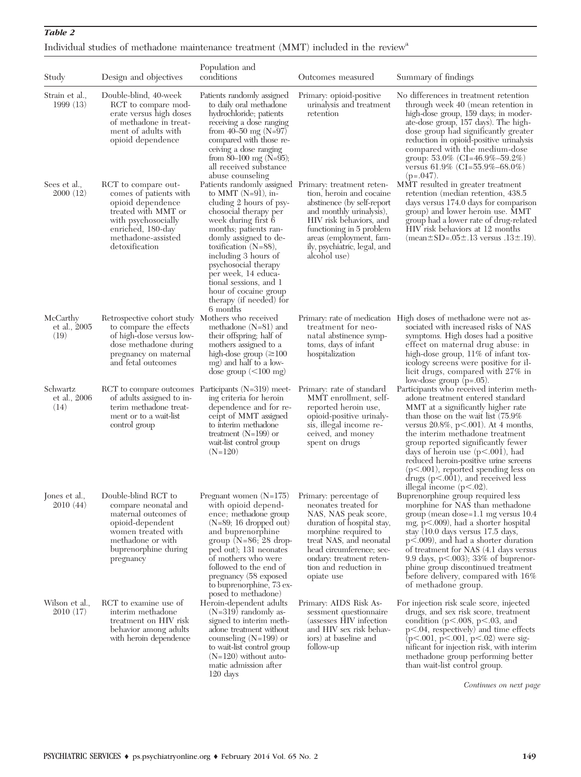# Table 2

| Individual studies of methadone maintenance treatment (MMT) included in the review <sup>a</sup> |  |
|-------------------------------------------------------------------------------------------------|--|
|-------------------------------------------------------------------------------------------------|--|

| Study                            | Design and objectives                                                                                                                                                         | Population and<br>conditions                                                                                                                                                                                                                                                                                                                                                                        | Outcomes measured                                                                                                                                                                                                            | Summary of findings                                                                                                                                                                                                                                                                                                                                                                                                                                                             |
|----------------------------------|-------------------------------------------------------------------------------------------------------------------------------------------------------------------------------|-----------------------------------------------------------------------------------------------------------------------------------------------------------------------------------------------------------------------------------------------------------------------------------------------------------------------------------------------------------------------------------------------------|------------------------------------------------------------------------------------------------------------------------------------------------------------------------------------------------------------------------------|---------------------------------------------------------------------------------------------------------------------------------------------------------------------------------------------------------------------------------------------------------------------------------------------------------------------------------------------------------------------------------------------------------------------------------------------------------------------------------|
| Strain et al.,<br>1999(13)       | Double-blind, 40-week<br>RCT to compare mod-<br>erate versus high doses<br>of methadone in treat-<br>ment of adults with<br>opioid dependence                                 | Patients randomly assigned<br>to daily oral methadone<br>hydrochloride; patients<br>receiving a dose ranging<br>from 40–50 mg $(N=97)$<br>compared with those re-<br>ceiving a dose ranging<br>from $80-100$ mg (N=95);<br>all received substance<br>abuse counseling                                                                                                                               | Primary: opioid-positive<br>urinalysis and treatment<br>retention                                                                                                                                                            | No differences in treatment retention<br>through week 40 (mean retention in<br>high-dose group, 159 days; in moder-<br>ate-dose group, 157 days). The high-<br>dose group had significantly greater<br>reduction in opioid-positive urinalysis<br>compared with the medium-dose<br>group: $53.0\%$ (CI=46.9%-59.2%)<br>versus $61.9\%$ (CI=55.9%-68.0%)                                                                                                                         |
| Sees et al.,<br>2000(12)         | RCT to compare out-<br>comes of patients with<br>opioid dependence<br>treated with MMT or<br>with psychosocially<br>enriched, 180-day<br>methadone-assisted<br>detoxification | Patients randomly assigned Primary: treatment reten-<br>to MMT $(N=91)$ , in-<br>cluding 2 hours of psy-<br>chosocial therapy per<br>week during first 6<br>months; patients ran-<br>domly assigned to de-<br>toxification (N=88),<br>including 3 hours of<br>psychosocial therapy<br>per week, 14 educa-<br>tional sessions, and 1<br>hour of cocaine group<br>therapy (if needed) for<br>6 months | tion, heroin and cocaine<br>abstinence (by self-report<br>and monthly urinalysis),<br>HIV risk behaviors, and<br>functioning in 5 problem<br>areas (employment, fam-<br>ily, psychiatric, legal, and<br>alcohol use)         | $(p=.047).$<br>MMT resulted in greater treatment<br>retention (median retention, 438.5)<br>days versus 174.0 days for comparison<br>group) and lower heroin use. MMT<br>group had a lower rate of drug-related<br>HIV risk behaviors at 12 months<br>$(\text{mean} \pm \text{SD} = .05 \pm .13 \text{ versus } .13 \pm .19).$                                                                                                                                                   |
| McCarthy<br>et al., 2005<br>(19) | Retrospective cohort study Mothers who received<br>to compare the effects<br>of high-dose versus low-<br>dose methadone during<br>pregnancy on maternal<br>and fetal outcomes | methadone $(N=81)$ and<br>their offspring; half of<br>mothers assigned to a<br>high-dose group $(\geq 100$<br>mg) and half to a low-<br>dose group $(<100$ mg)                                                                                                                                                                                                                                      | treatment for neo-<br>natal abstinence symp-<br>toms, days of infant<br>hospitalization                                                                                                                                      | Primary: rate of medication High doses of methadone were not as-<br>sociated with increased risks of NAS<br>symptoms. High doses had a positive<br>effect on maternal drug abuse: in<br>high-dose group, $11\%$ of infant tox-<br>icology screens were positive for il-<br>licit drugs, compared with 27% in<br>low-dose group $(p=.05)$ .                                                                                                                                      |
| Schwartz<br>et al., 2006<br>(14) | RCT to compare outcomes Participants $(N=319)$ meet-<br>of adults assigned to in-<br>terim methadone treat-<br>ment or to a wait-list<br>control group                        | ing criteria for heroin<br>dependence and for re-<br>ceipt of MMT assigned<br>to interim methadone<br>treatment $(N=199)$ or<br>wait-list control group<br>$(N=120)$                                                                                                                                                                                                                                | Primary: rate of standard<br>MMT enrollment, self-<br>reported heroin use,<br>opioid-positive urinaly-<br>sis, illegal income re-<br>ceived, and money<br>spent on drugs                                                     | Participants who received interim meth-<br>adone treatment entered standard<br>MMT at a significantly higher rate<br>than those on the wait list $(75.9\%$<br>versus $20.8\%$ , p<.001). At 4 months,<br>the interim methadone treatment<br>group reported significantly fewer<br>days of heroin use $(p<.001)$ , had<br>reduced heroin-positive urine screens<br>$(p<.001)$ , reported spending less on<br>drugs ( $p<.001$ ), and received less<br>illegal income $(p<.02)$ . |
| Jones et al.,<br>2010 (44)       | Double-blind RCT to<br>compare neonatal and<br>maternal outcomes of<br>opioid-dependent<br>women treated with<br>methadone or with<br>buprenorphine during<br>pregnancy       | Pregnant women $(N=175)$ Primary: percentage of<br>with opioid depend-<br>ence; methadone group<br>$(N=89; 16$ dropped out)<br>and buprenorphine<br>group $(N=86; 28$ drop-<br>ped out); 131 neonates<br>of mothers who were<br>followed to the end of<br>pregnancy (58 exposed<br>to buprenorphine, 73 ex-<br>posed to methadone)                                                                  | neonates treated for<br>NAS, NAS peak score,<br>duration of hospital stay,<br>morphine required to<br>treat NAS, and neonatal<br>head circumference; sec-<br>ondary: treatment reten-<br>tion and reduction in<br>opiate use | Buprenorphine group required less<br>morphine for NAS than methadone<br>group (mean dose= $1.1$ mg versus $10.4$<br>mg, $p<.009$ ), had a shorter hospital<br>stay $(10.0 \text{ days}$ versus $17.5 \text{ days}$ ,<br>$p<.009$ ), and had a shorter duration<br>of treatment for NAS (4.1 days versus<br>9.9 days, $p<.003$ ); 33% of buprenor-<br>phine group discontinued treatment<br>before delivery, compared with 16%<br>of methadone group.                            |
| Wilson et al.,<br>2010 (17)      | RCT to examine use of<br>interim methadone<br>treatment on HIV risk<br>behavior among adults<br>with heroin dependence                                                        | Heroin-dependent adults<br>$(N=319)$ randomly as-<br>signed to interim meth-<br>adone treatment without<br>counseling $(N=199)$ or<br>to wait-list control group<br>$(N=120)$ without auto-<br>matic admission after<br>$120 \text{ days}$                                                                                                                                                          | Primary: AIDS Risk As-<br>sessment questionnaire<br>(assesses HIV infection)<br>and HIV sex risk behav-<br>iors) at baseline and<br>follow-up                                                                                | For injection risk scale score, injected<br>drugs, and sex risk score, treatment<br>condition ( $p<0.008$ , $p<0.03$ , and<br>$p<.04$ , respectively) and time effects<br>$(p<.001, p<.001, p<.02)$ were sig-<br>nificant for injection risk, with interim<br>methadone group performing better<br>than wait-list control group.<br>Continues on next page                                                                                                                      |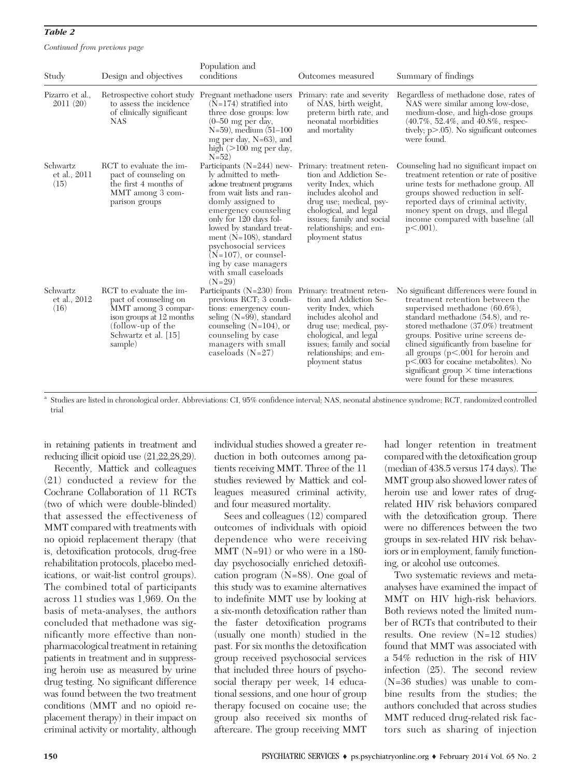| м<br>,<br>., |  |
|--------------|--|
|--------------|--|

Continued from previous page

| Study                            | Design and objectives                                                                                                                                       | Population and<br>conditions                                                                                                                                                                                                                                                                                                                                | Outcomes measured                                                                                                                                                                                                                                          | Summary of findings                                                                                                                                                                                                                                                                                                                                                                                                                       |
|----------------------------------|-------------------------------------------------------------------------------------------------------------------------------------------------------------|-------------------------------------------------------------------------------------------------------------------------------------------------------------------------------------------------------------------------------------------------------------------------------------------------------------------------------------------------------------|------------------------------------------------------------------------------------------------------------------------------------------------------------------------------------------------------------------------------------------------------------|-------------------------------------------------------------------------------------------------------------------------------------------------------------------------------------------------------------------------------------------------------------------------------------------------------------------------------------------------------------------------------------------------------------------------------------------|
| Pizarro et al.,<br>2011 (20)     | to assess the incidence<br>of clinically significant<br><b>NAS</b>                                                                                          | Retrospective cohort study Pregnant methadone users Primary: rate and severity<br>$(N=174)$ stratified into<br>three dose groups: low<br>$(0-50$ mg per day,<br>$N=59$ , medium $(51-100)$<br>mg per day, $N=63$ ), and<br>high $(>100 \text{ mg per day},$<br>$N = 52$                                                                                     | of NAS, birth weight,<br>preterm birth rate, and<br>neonatal morbidities<br>and mortality                                                                                                                                                                  | Regardless of methadone dose, rates of<br>NAS were similar among low-dose,<br>medium-dose, and high-dose groups<br>$(40.7\%, 52.4\%, \text{ and } 40.8\%, \text{ respec-}$<br>tively; $p > 0.05$ ). No significant outcomes<br>were found.                                                                                                                                                                                                |
| Schwartz<br>et al., 2011<br>(15) | RCT to evaluate the im-<br>pact of counseling on<br>the first 4 months of<br>MMT among 3 com-<br>parison groups                                             | Participants $(N=244)$ new-<br>ly admitted to meth-<br>adone treatment programs<br>from wait lists and ran-<br>domly assigned to<br>emergency counseling<br>only for 120 days fol-<br>lowed by standard treat-<br>ment $(N=108)$ , standard<br>psychosocial services<br>$(N=107)$ , or counsel-<br>ing by case managers<br>with small caseloads<br>$(N=29)$ | Primary: treatment reten-<br>tion and Addiction Se-<br>verity Index, which<br>includes alcohol and<br>drug use; medical, psy-<br>chological, and legal<br>issues; family and social<br>relationships; and em-<br>ployment status                           | Counseling had no significant impact on<br>treatment retention or rate of positive<br>urine tests for methadone group. All<br>groups showed reduction in self-<br>reported days of criminal activity,<br>money spent on drugs, and illegal<br>income compared with baseline (all<br>$p<.001$ ).                                                                                                                                           |
| Schwartz<br>et al., 2012<br>(16) | RCT to evaluate the im-<br>pact of counseling on<br>MMT among 3 compar-<br>ison groups at 12 months<br>(follow-up of the<br>Schwartz et al. [15]<br>sample) | previous RCT; 3 condi-<br>tions: emergency coun-<br>seling $(N=99)$ , standard<br>counseling $(N=104)$ , or<br>counseling by case<br>managers with small<br>caseloads $(N=27)$                                                                                                                                                                              | Participants (N=230) from Primary: treatment reten-<br>tion and Addiction Se-<br>verity Index, which<br>includes alcohol and<br>drug use; medical, psy-<br>chological, and legal<br>issues; family and social<br>relationships; and em-<br>ployment status | No significant differences were found in<br>treatment retention between the<br>supervised methadone (60.6%),<br>standard methadone (54.8), and re-<br>stored methadone (37.0%) treatment<br>groups. Positive urine screens de-<br>clined significantly from baseline for<br>all groups (p<.001 for heroin and<br>$p<0.003$ for cocaine metabolites). No<br>significant group $\times$ time interactions<br>were found for these measures. |

<sup>a</sup> Studies are listed in chronological order. Abbreviations: CI, 95% confidence interval; NAS, neonatal abstinence syndrome; RCT, randomized controlled trial

in retaining patients in treatment and reducing illicit opioid use (21,22,28,29).

Recently, Mattick and colleagues (21) conducted a review for the Cochrane Collaboration of 11 RCTs (two of which were double-blinded) that assessed the effectiveness of MMT compared with treatments with no opioid replacement therapy (that is, detoxification protocols, drug-free rehabilitation protocols, placebo medications, or wait-list control groups). The combined total of participants across 11 studies was 1,969. On the basis of meta-analyses, the authors concluded that methadone was significantly more effective than nonpharmacological treatment in retaining patients in treatment and in suppressing heroin use as measured by urine drug testing. No significant difference was found between the two treatment conditions (MMT and no opioid replacement therapy) in their impact on criminal activity or mortality, although

individual studies showed a greater reduction in both outcomes among patients receiving MMT. Three of the 11 studies reviewed by Mattick and colleagues measured criminal activity, and four measured mortality.

Sees and colleagues (12) compared outcomes of individuals with opioid dependence who were receiving MMT (N=91) or who were in a 180 day psychosocially enriched detoxification program (N=88). One goal of this study was to examine alternatives to indefinite MMT use by looking at a six-month detoxification rather than the faster detoxification programs (usually one month) studied in the past. For six months the detoxification group received psychosocial services that included three hours of psychosocial therapy per week, 14 educational sessions, and one hour of group therapy focused on cocaine use; the group also received six months of aftercare. The group receiving MMT

had longer retention in treatment compared with the detoxification group (median of 438.5 versus 174 days). The MMT group also showed lower rates of heroin use and lower rates of drugrelated HIV risk behaviors compared with the detoxification group. There were no differences between the two groups in sex-related HIV risk behaviors or in employment, family functioning, or alcohol use outcomes.

Two systematic reviews and metaanalyses have examined the impact of MMT on HIV high-risk behaviors. Both reviews noted the limited number of RCTs that contributed to their results. One review (N=12 studies) found that MMT was associated with a 54% reduction in the risk of HIV infection (25). The second review (N=36 studies) was unable to combine results from the studies; the authors concluded that across studies MMT reduced drug-related risk factors such as sharing of injection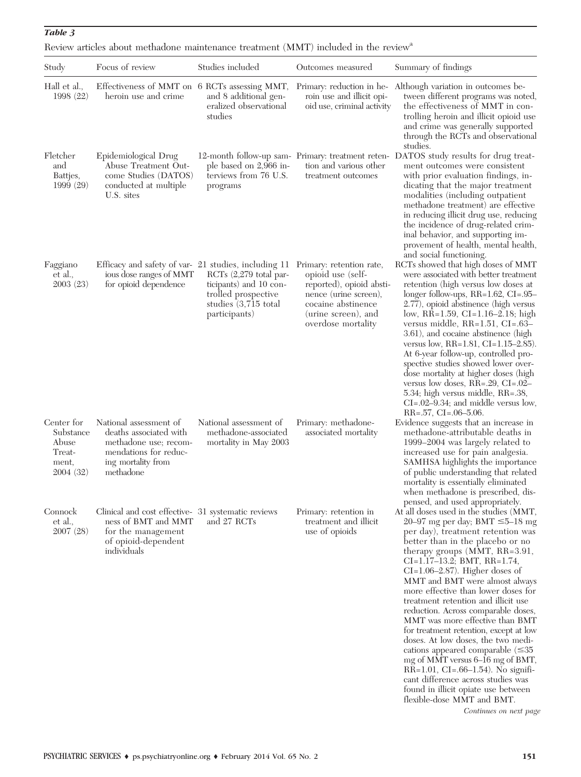# Table 3

| Review articles about methadone maintenance treatment (MMT) included in the review <sup>a</sup> |  |
|-------------------------------------------------------------------------------------------------|--|
|-------------------------------------------------------------------------------------------------|--|

| Study                                                           | Focus of review                                                                                                                       | Studies included                                                                                                           | Outcomes measured                                                                                                                                                     | Summary of findings                                                                                                                                                                                                                                                                                                                                                                                                                                                                                                                                                                                                                                                                                                                                                                                          |
|-----------------------------------------------------------------|---------------------------------------------------------------------------------------------------------------------------------------|----------------------------------------------------------------------------------------------------------------------------|-----------------------------------------------------------------------------------------------------------------------------------------------------------------------|--------------------------------------------------------------------------------------------------------------------------------------------------------------------------------------------------------------------------------------------------------------------------------------------------------------------------------------------------------------------------------------------------------------------------------------------------------------------------------------------------------------------------------------------------------------------------------------------------------------------------------------------------------------------------------------------------------------------------------------------------------------------------------------------------------------|
| Hall et al.,<br>1998 (22)                                       | Effectiveness of MMT on 6 RCTs assessing MMT,<br>heroin use and crime                                                                 | and 8 additional gen-<br>eralized observational<br>studies                                                                 | Primary: reduction in he-<br>roin use and illicit opi-<br>oid use, criminal activity                                                                                  | Although variation in outcomes be-<br>tween different programs was noted,<br>the effectiveness of MMT in con-<br>trolling heroin and illicit opioid use<br>and crime was generally supported<br>through the RCTs and observational<br>studies.                                                                                                                                                                                                                                                                                                                                                                                                                                                                                                                                                               |
| Fletcher<br>and<br>Battjes,<br>1999(29)                         | Epidemiological Drug<br>Abuse Treatment Out-<br>come Studies (DATOS)<br>conducted at multiple<br>U.S. sites                           | ple based on 2,966 in-<br>terviews from 76 U.S.<br>programs                                                                | tion and various other<br>treatment outcomes                                                                                                                          | 12-month follow-up sam- Primary: treatment reten- DATOS study results for drug treat-<br>ment outcomes were consistent<br>with prior evaluation findings, in-<br>dicating that the major treatment<br>modalities (including outpatient<br>methadone treatment) are effective<br>in reducing illicit drug use, reducing<br>the incidence of drug-related crim-<br>inal behavior, and supporting im-<br>provement of health, mental health,<br>and social functioning.                                                                                                                                                                                                                                                                                                                                         |
| Faggiano<br>et al.,<br>2003 (23)                                | Efficacy and safety of var- 21 studies, including 11<br>ious dose ranges of MMT<br>for opioid dependence                              | RCTs $(2,279 \text{ total par-}$<br>ticipants) and 10 con-<br>trolled prospective<br>studies (3,715 total<br>participants) | Primary: retention rate,<br>opioid use (self-<br>reported), opioid absti-<br>nence (urine screen),<br>cocaine abstinence<br>(urine screen), and<br>overdose mortality | RCTs showed that high doses of MMT<br>were associated with better treatment<br>retention (high versus low doses at<br>longer follow-ups, RR=1.62, CI=.95-<br>2.77), opioid abstinence (high versus<br>low, RR=1.59, CI=1.16-2.18; high<br>versus middle, RR=1.51, CI=.63-<br>3.61), and cocaine abstinence (high<br>versus low, RR=1.81, CI=1.15-2.85).<br>At 6-year follow-up, controlled pro-<br>spective studies showed lower over-<br>dose mortality at higher doses (high<br>versus low doses, $RR=.29$ , $CI=.02-$<br>5.34; high versus middle, RR=.38,<br>$CI = .02 - 9.34$ ; and middle versus low,<br>$RR = .57$ , $CI = .06 - 5.06$ .                                                                                                                                                              |
| Center for<br>Substance<br>Abuse<br>Treat-<br>ment,<br>2004(32) | National assessment of<br>deaths associated with<br>methadone use; recom-<br>mendations for reduc-<br>ing mortality from<br>methadone | National assessment of<br>methadone-associated<br>mortality in May 2003                                                    | Primary: methadone-<br>associated mortality                                                                                                                           | Evidence suggests that an increase in<br>methadone-attributable deaths in<br>1999–2004 was largely related to<br>increased use for pain analgesia.<br>SAMHSA highlights the importance<br>of public understanding that related<br>mortality is essentially eliminated<br>when methadone is prescribed, dis-<br>pensed, and used appropriately.                                                                                                                                                                                                                                                                                                                                                                                                                                                               |
| Connock<br>et al.,<br>2007 (28)                                 | Clinical and cost effective- 31 systematic reviews<br>ness of BMT and MMT<br>for the management<br>of opioid-dependent<br>individuals | and 27 RCTs                                                                                                                | Primary: retention in<br>treatment and illicit<br>use of opioids                                                                                                      | At all doses used in the studies (MMT,<br>20–97 mg per day; BMT $\leq$ 5–18 mg<br>per day), treatment retention was<br>better than in the placebo or no<br>therapy groups (MMT, RR=3.91,<br>$CI = 1.17 - 13.2$ ; BMT, RR=1.74,<br>$CI=1.06-2.87$ . Higher doses of<br>MMT and BMT were almost always<br>more effective than lower doses for<br>treatment retention and illicit use<br>reduction. Across comparable doses,<br>MMT was more effective than BMT<br>for treatment retention, except at low<br>doses. At low doses, the two medi-<br>cations appeared comparable $(\leq 35)$<br>mg of MMT versus 6–16 mg of BMT,<br>$RR=1.01$ , $CI=.66-1.54$ ). No signifi-<br>cant difference across studies was<br>found in illicit opiate use between<br>flexible-dose MMT and BMT.<br>Continues on next page |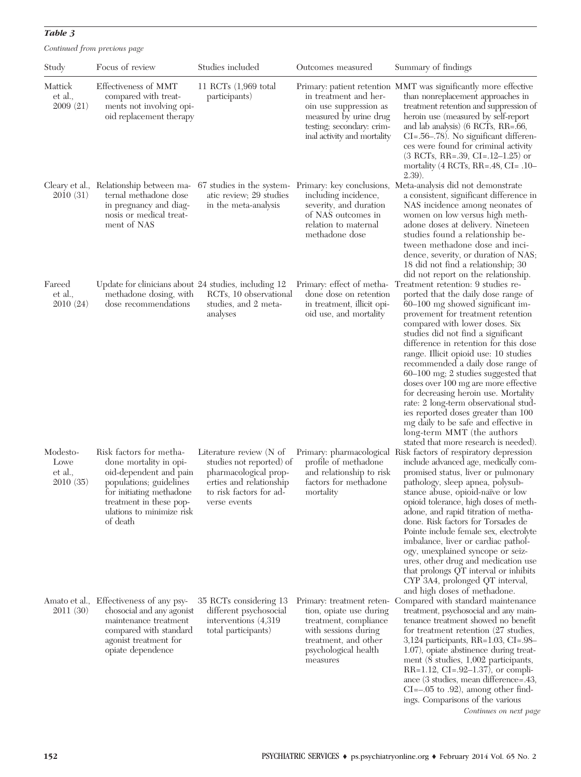| Continued from previous page            |                                                                                                                                                                                                        |                                                                                                                                                    |                                                                                                                                       |                                                                                                                                                                                                                                                                                                                                                                                                                                                                                                                                                                                                                                                                         |
|-----------------------------------------|--------------------------------------------------------------------------------------------------------------------------------------------------------------------------------------------------------|----------------------------------------------------------------------------------------------------------------------------------------------------|---------------------------------------------------------------------------------------------------------------------------------------|-------------------------------------------------------------------------------------------------------------------------------------------------------------------------------------------------------------------------------------------------------------------------------------------------------------------------------------------------------------------------------------------------------------------------------------------------------------------------------------------------------------------------------------------------------------------------------------------------------------------------------------------------------------------------|
| Study                                   | Focus of review                                                                                                                                                                                        | Studies included                                                                                                                                   | Outcomes measured                                                                                                                     | Summary of findings                                                                                                                                                                                                                                                                                                                                                                                                                                                                                                                                                                                                                                                     |
| Mattick<br>et al.,<br>2009(21)          | Effectiveness of MMT<br>compared with treat-<br>ments not involving opi-<br>oid replacement therapy                                                                                                    | 11 RCTs $(1,969 \text{ total})$<br>participants)                                                                                                   | in treatment and her-<br>oin use suppression as<br>measured by urine drug<br>testing; secondary: crim-<br>inal activity and mortality | Primary: patient retention MMT was significantly more effective<br>than nonreplacement approaches in<br>treatment retention and suppression of<br>heroin use (measured by self-report<br>and lab analysis) (6 RCTs, RR=.66,<br>CI=.56–.78). No significant differen-<br>ces were found for criminal activity<br>$(3$ RCTs, RR=.39, CI=.12-1.25) or<br>mortality $(4 \text{ RCTs}, \text{ RR} = .48, \text{ CI} = .10-$<br>$2.39$ ).                                                                                                                                                                                                                                     |
| 2010 (31)                               | Cleary et al., Relationship between ma-<br>ternal methadone dose<br>in pregnancy and diag-<br>nosis or medical treat-<br>ment of NAS                                                                   | atic review; 29 studies<br>in the meta-analysis                                                                                                    | including incidence,<br>severity, and duration<br>of NAS outcomes in<br>relation to maternal<br>methadone dose                        | 67 studies in the system- Primary: key conclusions, Meta-analysis did not demonstrate<br>a consistent, significant difference in<br>NAS incidence among neonates of<br>women on low versus high meth-<br>adone doses at delivery. Nineteen<br>studies found a relationship be-<br>tween methadone dose and inci-<br>dence, severity, or duration of NAS;<br>18 did not find a relationship; 30<br>did not report on the relationship.                                                                                                                                                                                                                                   |
| Fareed<br>et al.,<br>2010(24)           | Update for clinicians about 24 studies, including 12<br>methadone dosing, with<br>dose recommendations                                                                                                 | RCTs, 10 observational<br>studies, and 2 meta-<br>analyses                                                                                         | Primary: effect of metha-<br>done dose on retention<br>in treatment, illicit opi-<br>oid use, and mortality                           | Treatment retention: 9 studies re-<br>ported that the daily dose range of<br>60-100 mg showed significant im-<br>provement for treatment retention<br>compared with lower doses. Six<br>studies did not find a significant<br>difference in retention for this dose<br>range. Illicit opioid use: 10 studies<br>recommended a daily dose range of<br>60-100 mg; 2 studies suggested that<br>doses over 100 mg are more effective<br>for decreasing heroin use. Mortality<br>rate: 2 long-term observational stud-<br>ies reported doses greater than 100<br>mg daily to be safe and effective in<br>long-term MMT (the authors<br>stated that more research is needed). |
| Modesto-<br>Lowe<br>et al.,<br>2010(35) | Risk factors for metha-<br>done mortality in opi-<br>oid-dependent and pain<br>populations; guidelines<br>for initiating methadone<br>treatment in these pop-<br>ulations to minimize risk<br>of death | Literature review (N of<br>studies not reported) of<br>pharmacological prop-<br>erties and relationship<br>to risk factors for ad-<br>verse events | profile of methadone<br>and relationship to risk<br>factors for methadone<br>mortality                                                | Primary: pharmacological Risk factors of respiratory depression<br>include advanced age, medically com-<br>promised status, liver or pulmonary<br>pathology, sleep apnea, polysub-<br>stance abuse, opioid-naïve or low<br>opioid tolerance, high doses of meth-<br>adone, and rapid titration of metha-<br>done. Risk factors for Torsades de<br>Pointe include female sex, electrolyte<br>imbalance, liver or cardiac pathol-<br>ogy, unexplained syncope or seiz-<br>ures, other drug and medication use<br>that prolongs QT interval or inhibits<br>CYP 3A4, prolonged QT interval,<br>and high doses of methadone.                                                 |
| 2011 (30)                               | Amato et al., Effectiveness of any psy-<br>chosocial and any agonist<br>maintenance treatment<br>compared with standard<br>agonist treatment for<br>opiate dependence                                  | 35 RCTs considering 13<br>different psychosocial<br>interventions $(4,319)$<br>total participants)                                                 | tion, opiate use during<br>treatment, compliance<br>with sessions during<br>treatment, and other<br>psychological health<br>measures  | Primary: treatment reten- Compared with standard maintenance<br>treatment, psychosocial and any main-<br>tenance treatment showed no benefit<br>for treatment retention (27 studies,<br>3,124 participants, RR=1.03, CI=.98–<br>1.07), opiate abstinence during treat-<br>ment (8 studies, 1,002 participants,<br>$RR=1.12$ , $CI=.92-1.37$ ), or compli-<br>ance (3 studies, mean difference=.43,<br>$CI = -.05$ to $.92$ ), among other find-<br>ings. Comparisons of the various<br>Continues on next page                                                                                                                                                           |

Table 3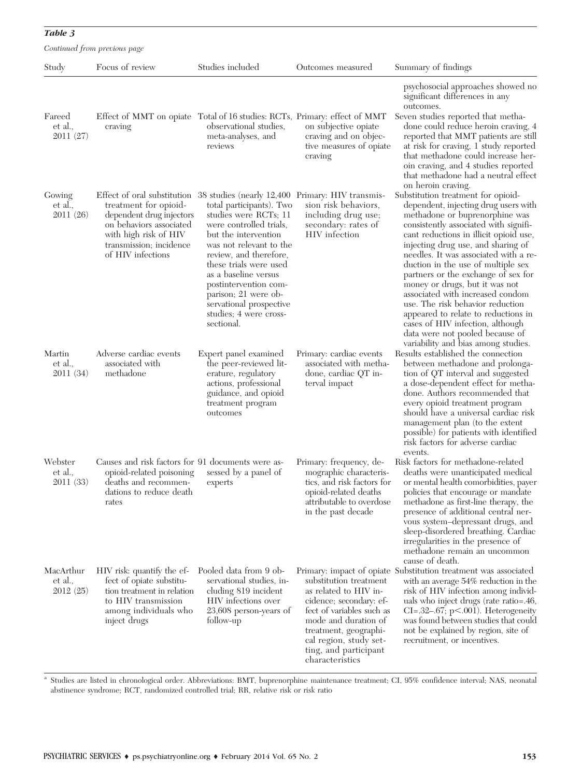| Table 3                          |                                                                                                                                                                                                                                       |                                                                                                                                                                                                                                                                                                                                 |                                                                                                                                                                                                                                |                                                                                                                                                                                                                                                                                                                                                                                                                                                                                                                                                                                                                            |  |
|----------------------------------|---------------------------------------------------------------------------------------------------------------------------------------------------------------------------------------------------------------------------------------|---------------------------------------------------------------------------------------------------------------------------------------------------------------------------------------------------------------------------------------------------------------------------------------------------------------------------------|--------------------------------------------------------------------------------------------------------------------------------------------------------------------------------------------------------------------------------|----------------------------------------------------------------------------------------------------------------------------------------------------------------------------------------------------------------------------------------------------------------------------------------------------------------------------------------------------------------------------------------------------------------------------------------------------------------------------------------------------------------------------------------------------------------------------------------------------------------------------|--|
| Continued from previous page     |                                                                                                                                                                                                                                       |                                                                                                                                                                                                                                                                                                                                 |                                                                                                                                                                                                                                |                                                                                                                                                                                                                                                                                                                                                                                                                                                                                                                                                                                                                            |  |
| Study                            | Focus of review                                                                                                                                                                                                                       | Studies included                                                                                                                                                                                                                                                                                                                | Outcomes measured                                                                                                                                                                                                              | Summary of findings                                                                                                                                                                                                                                                                                                                                                                                                                                                                                                                                                                                                        |  |
| Fareed<br>et al.,<br>2011(27)    | Effect of MMT on opiate Total of 16 studies: RCTs, Primary: effect of MMT<br>craving                                                                                                                                                  | observational studies,<br>meta-analyses, and                                                                                                                                                                                                                                                                                    | on subjective opiate<br>craving and on objec-                                                                                                                                                                                  | psychosocial approaches showed no<br>significant differences in any<br>outcomes.<br>Seven studies reported that metha-<br>done could reduce heroin craving, 4<br>reported that MMT patients are still                                                                                                                                                                                                                                                                                                                                                                                                                      |  |
|                                  |                                                                                                                                                                                                                                       | reviews                                                                                                                                                                                                                                                                                                                         | tive measures of opiate<br>craving                                                                                                                                                                                             | at risk for craving, 1 study reported<br>that methadone could increase her-<br>oin craving, and 4 studies reported<br>that methadone had a neutral effect<br>on heroin craving.                                                                                                                                                                                                                                                                                                                                                                                                                                            |  |
| Gowing<br>et al.,<br>2011(26)    | Effect of oral substitution 38 studies (nearly 12,400 Primary: HIV transmis-<br>treatment for opioid-<br>dependent drug injectors<br>on behaviors associated<br>with high risk of HIV<br>transmission; incidence<br>of HIV infections | total participants). Two<br>studies were RCTs; 11<br>were controlled trials,<br>but the intervention<br>was not relevant to the<br>review, and therefore,<br>these trials were used<br>as a baseline versus<br>postintervention com-<br>parison; 21 were ob-<br>servational prospective<br>studies; 4 were cross-<br>sectional. | sion risk behaviors,<br>including drug use;<br>secondary: rates of<br>HIV infection                                                                                                                                            | Substitution treatment for opioid-<br>dependent, injecting drug users with<br>methadone or buprenorphine was<br>consistently associated with signifi-<br>cant reductions in illicit opioid use,<br>injecting drug use, and sharing of<br>needles. It was associated with a re-<br>duction in the use of multiple sex<br>partners or the exchange of sex for<br>money or drugs, but it was not<br>associated with increased condom<br>use. The risk behavior reduction<br>appeared to relate to reductions in<br>cases of HIV infection, although<br>data were not pooled because of<br>variability and bias among studies. |  |
| Martin<br>et al.,<br>2011 (34)   | Adverse cardiac events<br>associated with<br>methadone                                                                                                                                                                                | Expert panel examined<br>the peer-reviewed lit-<br>erature, regulatory<br>actions, professional<br>guidance, and opioid<br>treatment program<br>outcomes                                                                                                                                                                        | Primary: cardiac events<br>associated with metha-<br>done, cardiac QT in-<br>terval impact                                                                                                                                     | Results established the connection<br>between methadone and prolonga-<br>tion of QT interval and suggested<br>a dose-dependent effect for metha-<br>done. Authors recommended that<br>every opioid treatment program<br>should have a universal cardiac risk<br>management plan (to the extent<br>possible) for patients with identified<br>risk factors for adverse cardiac<br>events.                                                                                                                                                                                                                                    |  |
| Webster<br>et al.,<br>2011 (33)  | Causes and risk factors for 91 documents were as-<br>opioid-related poisoning sessed by a panel of<br>deaths and recommen-<br>dations to reduce death<br>rates                                                                        | experts                                                                                                                                                                                                                                                                                                                         | Primary: frequency, de-<br>mographic characteris-<br>tics, and risk factors for<br>opioid-related deaths<br>attributable to overdose<br>in the past decade                                                                     | Risk factors for methadone-related<br>deaths were unanticipated medical<br>or mental health comorbidities, payer<br>policies that encourage or mandate<br>methadone as first-line therapy, the<br>presence of additional central ner-<br>vous system-depressant drugs, and<br>sleep-disordered breathing. Cardiac<br>irregularities in the presence of<br>methadone remain an uncommon<br>cause of death.                                                                                                                                                                                                                  |  |
| MacArthur<br>et al.,<br>2012(25) | HIV risk: quantify the ef-<br>fect of opiate substitu-<br>tion treatment in relation<br>to HIV transmission<br>among individuals who<br>inject drugs                                                                                  | Pooled data from 9 ob-<br>servational studies, in-<br>cluding 819 incident<br>HIV infections over<br>23,608 person-years of<br>follow-up                                                                                                                                                                                        | substitution treatment<br>as related to HIV in-<br>cidence; secondary: ef-<br>fect of variables such as<br>mode and duration of<br>treatment, geographi-<br>cal region, study set-<br>ting, and participant<br>characteristics | Primary: impact of opiate Substitution treatment was associated<br>with an average 54% reduction in the<br>risk of HIV infection among individ-<br>uals who inject drugs (rate ratio=.46,<br>$CI = .32-.67$ ; $p < .001$ ). Heterogeneity<br>was found between studies that could<br>not be explained by region, site of<br>recruitment, or incentives.                                                                                                                                                                                                                                                                    |  |

<sup>a</sup> Studies are listed in chronological order. Abbreviations: BMT, buprenorphine maintenance treatment; CI, 95% confidence interval; NAS, neonatal abstinence syndrome; RCT, randomized controlled trial; RR, relative risk or risk ratio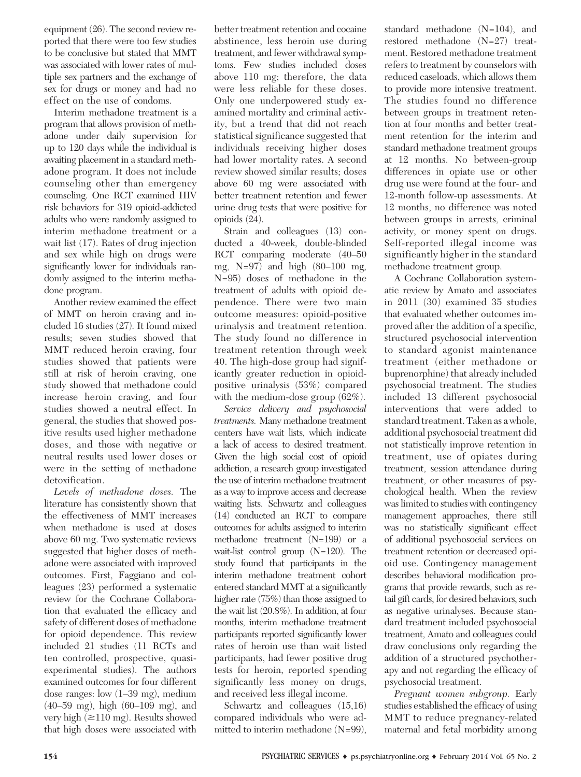equipment (26). The second review reported that there were too few studies to be conclusive but stated that MMT was associated with lower rates of multiple sex partners and the exchange of sex for drugs or money and had no effect on the use of condoms.

Interim methadone treatment is a program that allows provision of methadone under daily supervision for up to 120 days while the individual is awaiting placement in a standard methadone program. It does not include counseling other than emergency counseling. One RCT examined HIV risk behaviors for 319 opioid-addicted adults who were randomly assigned to interim methadone treatment or a wait list (17). Rates of drug injection and sex while high on drugs were significantly lower for individuals randomly assigned to the interim methadone program.

Another review examined the effect of MMT on heroin craving and included 16 studies (27). It found mixed results; seven studies showed that MMT reduced heroin craving, four studies showed that patients were still at risk of heroin craving, one study showed that methadone could increase heroin craving, and four studies showed a neutral effect. In general, the studies that showed positive results used higher methadone doses, and those with negative or neutral results used lower doses or were in the setting of methadone detoxification.

Levels of methadone doses. The literature has consistently shown that the effectiveness of MMT increases when methadone is used at doses above 60 mg. Two systematic reviews suggested that higher doses of methadone were associated with improved outcomes. First, Faggiano and colleagues (23) performed a systematic review for the Cochrane Collaboration that evaluated the efficacy and safety of different doses of methadone for opioid dependence. This review included 21 studies (11 RCTs and ten controlled, prospective, quasiexperimental studies). The authors examined outcomes for four different dose ranges: low (1–39 mg), medium (40–59 mg), high (60–109 mg), and very high  $(\geq 110 \text{ mg})$ . Results showed that high doses were associated with

better treatment retention and cocaine abstinence, less heroin use during treatment, and fewer withdrawal symptoms. Few studies included doses above 110 mg; therefore, the data were less reliable for these doses. Only one underpowered study examined mortality and criminal activity, but a trend that did not reach statistical significance suggested that individuals receiving higher doses had lower mortality rates. A second review showed similar results; doses above 60 mg were associated with better treatment retention and fewer urine drug tests that were positive for opioids (24).

Strain and colleagues (13) conducted a 40-week, double-blinded RCT comparing moderate (40–50 mg, N=97) and high (80–100 mg, N=95) doses of methadone in the treatment of adults with opioid dependence. There were two main outcome measures: opioid-positive urinalysis and treatment retention. The study found no difference in treatment retention through week 40. The high-dose group had significantly greater reduction in opioidpositive urinalysis (53%) compared with the medium-dose group (62%).

Service delivery and psychosocial treatments. Many methadone treatment centers have wait lists, which indicate a lack of access to desired treatment. Given the high social cost of opioid addiction, a research group investigated the use of interim methadone treatment as a way to improve access and decrease waiting lists. Schwartz and colleagues (14) conducted an RCT to compare outcomes for adults assigned to interim methadone treatment (N=199) or a wait-list control group (N=120). The study found that participants in the interim methadone treatment cohort entered standard MMT at a significantly higher rate (75%) than those assigned to the wait list (20.8%). In addition, at four months, interim methadone treatment participants reported significantly lower rates of heroin use than wait listed participants, had fewer positive drug tests for heroin, reported spending significantly less money on drugs, and received less illegal income.

Schwartz and colleagues (15,16) compared individuals who were admitted to interim methadone (N=99), standard methadone (N=104), and restored methadone (N=27) treatment. Restored methadone treatment refers to treatment by counselors with reduced caseloads, which allows them to provide more intensive treatment. The studies found no difference between groups in treatment retention at four months and better treatment retention for the interim and standard methadone treatment groups at 12 months. No between-group differences in opiate use or other drug use were found at the four- and 12-month follow-up assessments. At 12 months, no difference was noted between groups in arrests, criminal activity, or money spent on drugs. Self-reported illegal income was significantly higher in the standard methadone treatment group.

A Cochrane Collaboration systematic review by Amato and associates in 2011 (30) examined 35 studies that evaluated whether outcomes improved after the addition of a specific, structured psychosocial intervention to standard agonist maintenance treatment (either methadone or buprenorphine) that already included psychosocial treatment. The studies included 13 different psychosocial interventions that were added to standard treatment. Taken as a whole, additional psychosocial treatment did not statistically improve retention in treatment, use of opiates during treatment, session attendance during treatment, or other measures of psychological health. When the review was limited to studies with contingency management approaches, there still was no statistically significant effect of additional psychosocial services on treatment retention or decreased opioid use. Contingency management describes behavioral modification programs that provide rewards, such as retail gift cards, for desired behaviors, such as negative urinalyses. Because standard treatment included psychosocial treatment, Amato and colleagues could draw conclusions only regarding the addition of a structured psychotherapy and not regarding the efficacy of psychosocial treatment.

Pregnant women subgroup. Early studies established the efficacy of using MMT to reduce pregnancy-related maternal and fetal morbidity among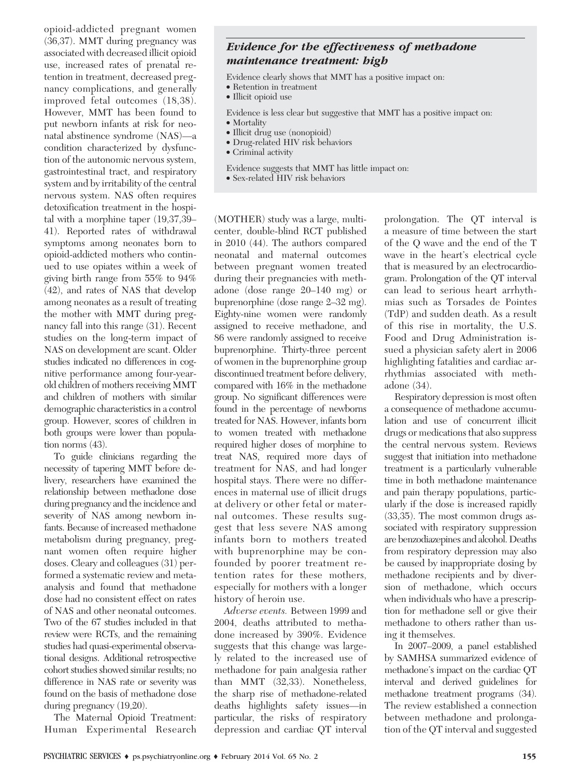opioid-addicted pregnant women (36,37). MMT during pregnancy was associated with decreased illicit opioid use, increased rates of prenatal retention in treatment, decreased pregnancy complications, and generally improved fetal outcomes (18,38). However, MMT has been found to put newborn infants at risk for neonatal abstinence syndrome (NAS)—a condition characterized by dysfunction of the autonomic nervous system, gastrointestinal tract, and respiratory system and by irritability of the central nervous system. NAS often requires detoxification treatment in the hospital with a morphine taper (19,37,39– 41). Reported rates of withdrawal symptoms among neonates born to opioid-addicted mothers who continued to use opiates within a week of giving birth range from 55% to 94% (42), and rates of NAS that develop among neonates as a result of treating the mother with MMT during pregnancy fall into this range (31). Recent studies on the long-term impact of NAS on development are scant. Older studies indicated no differences in cognitive performance among four-yearold children of mothers receiving MMT and children of mothers with similar demographic characteristics in a control group. However, scores of children in both groups were lower than population norms (43).

To guide clinicians regarding the necessity of tapering MMT before delivery, researchers have examined the relationship between methadone dose during pregnancy and the incidence and severity of NAS among newborn infants. Because of increased methadone metabolism during pregnancy, pregnant women often require higher doses. Cleary and colleagues (31) performed a systematic review and metaanalysis and found that methadone dose had no consistent effect on rates of NAS and other neonatal outcomes. Two of the 67 studies included in that review were RCTs, and the remaining studies had quasi-experimental observational designs. Additional retrospective cohort studies showed similar results; no difference in NAS rate or severity was found on the basis of methadone dose during pregnancy (19,20).

The Maternal Opioid Treatment: Human Experimental Research

# Evidence for the effectiveness of methadone maintenance treatment: high

- Evidence clearly shows that MMT has a positive impact on:
- Retention in treatment
- Illicit opioid use

Evidence is less clear but suggestive that MMT has a positive impact on: • Mortality

- Illicit drug use (nonopioid)
- Drug-related HIV risk behaviors
- Criminal activity

Evidence suggests that MMT has little impact on: • Sex-related HIV risk behaviors

(MOTHER) study was a large, multicenter, double-blind RCT published in 2010 (44). The authors compared neonatal and maternal outcomes between pregnant women treated during their pregnancies with methadone (dose range 20–140 mg) or buprenorphine (dose range 2–32 mg). Eighty-nine women were randomly assigned to receive methadone, and 86 were randomly assigned to receive buprenorphine. Thirty-three percent of women in the buprenorphine group discontinued treatment before delivery, compared with 16% in the methadone group. No significant differences were found in the percentage of newborns treated for NAS. However, infants born to women treated with methadone required higher doses of morphine to treat NAS, required more days of treatment for NAS, and had longer hospital stays. There were no differences in maternal use of illicit drugs at delivery or other fetal or maternal outcomes. These results suggest that less severe NAS among infants born to mothers treated with buprenorphine may be confounded by poorer treatment retention rates for these mothers, especially for mothers with a longer history of heroin use.

Adverse events. Between 1999 and 2004, deaths attributed to methadone increased by 390%. Evidence suggests that this change was largely related to the increased use of methadone for pain analgesia rather than MMT (32,33). Nonetheless, the sharp rise of methadone-related deaths highlights safety issues—in particular, the risks of respiratory depression and cardiac QT interval

prolongation. The QT interval is a measure of time between the start of the Q wave and the end of the T wave in the heart's electrical cycle that is measured by an electrocardiogram. Prolongation of the QT interval can lead to serious heart arrhythmias such as Torsades de Pointes (TdP) and sudden death. As a result of this rise in mortality, the U.S. Food and Drug Administration issued a physician safety alert in 2006 highlighting fatalities and cardiac arrhythmias associated with methadone (34).

Respiratory depression is most often a consequence of methadone accumulation and use of concurrent illicit drugs or medications that also suppress the central nervous system. Reviews suggest that initiation into methadone treatment is a particularly vulnerable time in both methadone maintenance and pain therapy populations, particularly if the dose is increased rapidly (33,35). The most common drugs associated with respiratory suppression are benzodiazepines and alcohol. Deaths from respiratory depression may also be caused by inappropriate dosing by methadone recipients and by diversion of methadone, which occurs when individuals who have a prescription for methadone sell or give their methadone to others rather than using it themselves.

In 2007–2009, a panel established by SAMHSA summarized evidence of methadone's impact on the cardiac QT interval and derived guidelines for methadone treatment programs (34). The review established a connection between methadone and prolongation of the QT interval and suggested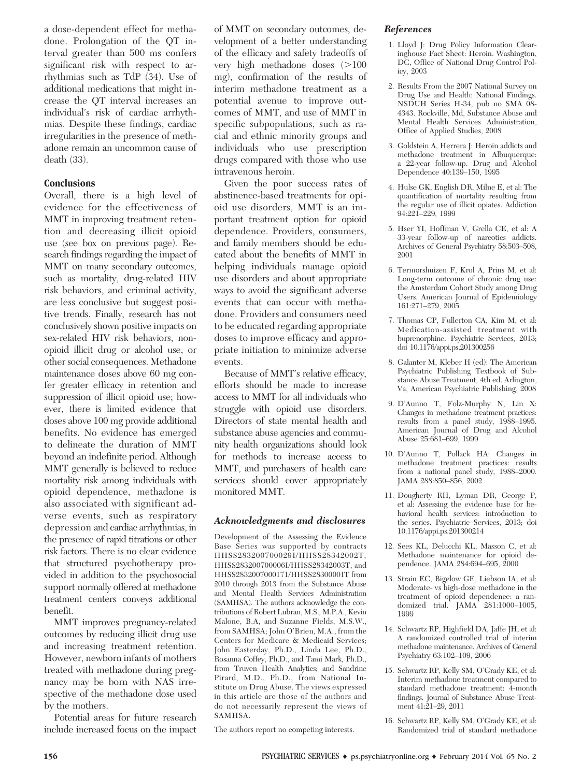a dose-dependent effect for methadone. Prolongation of the QT interval greater than 500 ms confers significant risk with respect to arrhythmias such as TdP (34). Use of additional medications that might increase the QT interval increases an individual's risk of cardiac arrhythmias. Despite these findings, cardiac irregularities in the presence of methadone remain an uncommon cause of death (33).

## **Conclusions**

Overall, there is a high level of evidence for the effectiveness of MMT in improving treatment retention and decreasing illicit opioid use (see box on previous page). Research findings regarding the impact of MMT on many secondary outcomes, such as mortality, drug-related HIV risk behaviors, and criminal activity, are less conclusive but suggest positive trends. Finally, research has not conclusively shown positive impacts on sex-related HIV risk behaviors, nonopioid illicit drug or alcohol use, or other social consequences. Methadone maintenance doses above 60 mg confer greater efficacy in retention and suppression of illicit opioid use; however, there is limited evidence that doses above 100 mg provide additional benefits. No evidence has emerged to delineate the duration of MMT beyond an indefinite period. Although MMT generally is believed to reduce mortality risk among individuals with opioid dependence, methadone is also associated with significant adverse events, such as respiratory depression and cardiac arrhythmias, in the presence of rapid titrations or other risk factors. There is no clear evidence that structured psychotherapy provided in addition to the psychosocial support normally offered at methadone treatment centers conveys additional benefit.

MMT improves pregnancy-related outcomes by reducing illicit drug use and increasing treatment retention. However, newborn infants of mothers treated with methadone during pregnancy may be born with NAS irrespective of the methadone dose used by the mothers.

Potential areas for future research include increased focus on the impact of MMT on secondary outcomes, development of a better understanding of the efficacy and safety tradeoffs of very high methadone doses  $(>100$ mg), confirmation of the results of interim methadone treatment as a potential avenue to improve outcomes of MMT, and use of MMT in specific subpopulations, such as racial and ethnic minority groups and individuals who use prescription drugs compared with those who use intravenous heroin.

Given the poor success rates of abstinence-based treatments for opioid use disorders, MMT is an important treatment option for opioid dependence. Providers, consumers, and family members should be educated about the benefits of MMT in helping individuals manage opioid use disorders and about appropriate ways to avoid the significant adverse events that can occur with methadone. Providers and consumers need to be educated regarding appropriate doses to improve efficacy and appropriate initiation to minimize adverse events.

Because of MMT's relative efficacy, efforts should be made to increase access to MMT for all individuals who struggle with opioid use disorders. Directors of state mental health and substance abuse agencies and community health organizations should look for methods to increase access to MMT, and purchasers of health care services should cover appropriately monitored MMT.

## Acknowledgments and disclosures

Development of the Assessing the Evidence Base Series was supported by contracts HHSS283200700029I/HHSS28342002T, HHSS283200700006I/HHSS28342003T, and HHSS2832007000171/HHSS28300001T from 2010 through 2013 from the Substance Abuse and Mental Health Services Administration (SAMHSA). The authors acknowledge the contributions of Robert Lubran, M.S., M.P.A., Kevin Malone, B.A, and Suzanne Fields, M.S.W., from SAMHSA; John O'Brien, M.A., from the Centers for Medicare & Medicaid Services; John Easterday, Ph.D., Linda Lee, Ph.D., Rosanna Coffey, Ph.D., and Tami Mark, Ph.D., from Truven Health Analytics; and Sandrine Pirard, M.D., Ph.D., from National Institute on Drug Abuse. The views expressed in this article are those of the authors and do not necessarily represent the views of SAMHSA.

The authors report no competing interests.

## References

- 1. Lloyd J: Drug Policy Information Clearinghouse Fact Sheet: Heroin. Washington, DC, Office of National Drug Control Policy, 2003
- 2. Results From the 2007 National Survey on Drug Use and Health: National Findings. NSDUH Series H-34, pub no SMA 08- 4343. Rockville, Md, Substance Abuse and Mental Health Services Administration, Office of Applied Studies, 2008
- 3. Goldstein A, Herrera J: Heroin addicts and methadone treatment in Albuquerque: a 22-year follow-up. Drug and Alcohol Dependence 40:139–150, 1995
- 4. Hulse GK, English DR, Milne E, et al: The quantification of mortality resulting from the regular use of illicit opiates. Addiction 94:221–229, 1999
- 5. Hser YI, Hoffman V, Grella CE, et al: A 33-year follow-up of narcotics addicts. Archives of General Psychiatry 58:503–508, 2001
- 6. Termorshuizen F, Krol A, Prins M, et al: Long-term outcome of chronic drug use: the Amsterdam Cohort Study among Drug Users. American Journal of Epidemiology 161:271–279, 2005
- 7. Thomas CP, Fullerton CA, Kim M, et al: Medication-assisted treatment with buprenorphine. Psychiatric Services, 2013; doi 10.1176/appi.ps.201300256
- 8. Galanter M, Kleber H (ed): The American Psychiatric Publishing Textbook of Substance Abuse Treatment, 4th ed. Arlington, Va, American Psychiatric Publishing, 2008
- 9. D'Aunno T, Folz-Murphy N, Lin X: Changes in methadone treatment practices: results from a panel study, 1988–1995. American Journal of Drug and Alcohol Abuse 25:681–699, 1999
- 10. D'Aunno T, Pollack HA: Changes in methadone treatment practices: results from a national panel study, 1988–2000. JAMA 288:850–856, 2002
- 11. Dougherty RH, Lyman DR, George P, et al: Assessing the evidence base for behavioral health services: introduction to the series. Psychiatric Services, 2013; doi 10.1176/appi.ps.201300214
- 12. Sees KL, Delucchi KL, Masson C, et al: Methadone maintenance for opioid dependence. JAMA 284:694–695, 2000
- 13. Strain EC, Bigelow GE, Liebson IA, et al: Moderate- vs high-dose methadone in the treatment of opioid dependence: a randomized trial. JAMA 281:1000–1005, 1999
- 14. Schwartz RP, Highfield DA, Jaffe JH, et al: A randomized controlled trial of interim methadone maintenance. Archives of General Psychiatry 63:102–109, 2006
- 15. Schwartz RP, Kelly SM, O'Grady KE, et al: Interim methadone treatment compared to standard methadone treatment: 4-month findings. Journal of Substance Abuse Treatment 41:21–29, 2011
- 16. Schwartz RP, Kelly SM, O'Grady KE, et al: Randomized trial of standard methadone